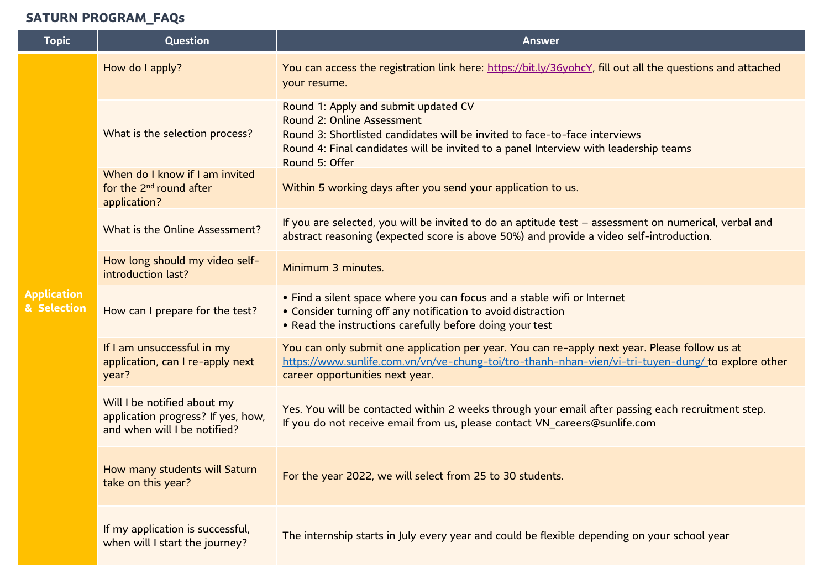## **SATURN PROGRAM\_FAQs**

| <b>Topic</b>                      | <b>Question</b>                                                                                   | <b>Answer</b>                                                                                                                                                                                                                                              |
|-----------------------------------|---------------------------------------------------------------------------------------------------|------------------------------------------------------------------------------------------------------------------------------------------------------------------------------------------------------------------------------------------------------------|
| <b>Application</b><br>& Selection | How do I apply?                                                                                   | You can access the registration link here: https://bit.ly/36yohcY, fill out all the questions and attached<br>your resume.                                                                                                                                 |
|                                   | What is the selection process?                                                                    | Round 1: Apply and submit updated CV<br>Round 2: Online Assessment<br>Round 3: Shortlisted candidates will be invited to face-to-face interviews<br>Round 4: Final candidates will be invited to a panel Interview with leadership teams<br>Round 5: Offer |
|                                   | When do I know if I am invited<br>for the 2 <sup>nd</sup> round after<br>application?             | Within 5 working days after you send your application to us.                                                                                                                                                                                               |
|                                   | What is the Online Assessment?                                                                    | If you are selected, you will be invited to do an aptitude test - assessment on numerical, verbal and<br>abstract reasoning (expected score is above 50%) and provide a video self-introduction.                                                           |
|                                   | How long should my video self-<br>introduction last?                                              | Minimum 3 minutes.                                                                                                                                                                                                                                         |
|                                   | How can I prepare for the test?                                                                   | • Find a silent space where you can focus and a stable wifi or Internet<br>• Consider turning off any notification to avoid distraction<br>• Read the instructions carefully before doing your test                                                        |
|                                   | If I am unsuccessful in my<br>application, can I re-apply next<br>year?                           | You can only submit one application per year. You can re-apply next year. Please follow us at<br>https://www.sunlife.com.vn/vn/ve-chung-toi/tro-thanh-nhan-vien/vi-tri-tuyen-dung/ to explore other<br>career opportunities next year.                     |
|                                   | Will I be notified about my<br>application progress? If yes, how,<br>and when will I be notified? | Yes. You will be contacted within 2 weeks through your email after passing each recruitment step.<br>If you do not receive email from us, please contact VN_careers@sunlife.com                                                                            |
|                                   | How many students will Saturn<br>take on this year?                                               | For the year 2022, we will select from 25 to 30 students.                                                                                                                                                                                                  |
|                                   | If my application is successful,<br>when will I start the journey?                                | The internship starts in July every year and could be flexible depending on your school year                                                                                                                                                               |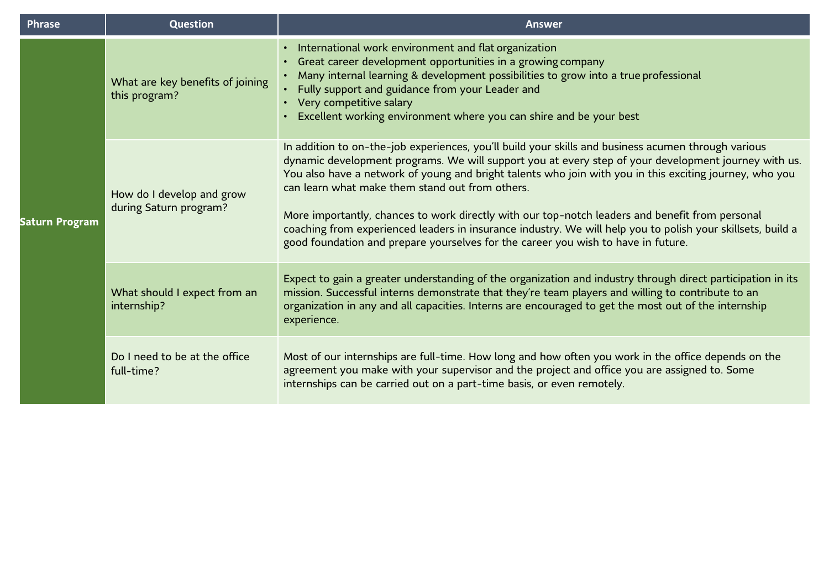| <b>Phrase</b>         | <b>Question</b>                                     | <b>Answer</b>                                                                                                                                                                                                                                                                                                                                                                                                                                                                                                                                                                                                                                                                    |
|-----------------------|-----------------------------------------------------|----------------------------------------------------------------------------------------------------------------------------------------------------------------------------------------------------------------------------------------------------------------------------------------------------------------------------------------------------------------------------------------------------------------------------------------------------------------------------------------------------------------------------------------------------------------------------------------------------------------------------------------------------------------------------------|
| <b>Saturn Program</b> | What are key benefits of joining<br>this program?   | International work environment and flat organization<br>Great career development opportunities in a growing company<br>Many internal learning & development possibilities to grow into a true professional<br>Fully support and guidance from your Leader and<br>Very competitive salary<br>Excellent working environment where you can shire and be your best                                                                                                                                                                                                                                                                                                                   |
|                       | How do I develop and grow<br>during Saturn program? | In addition to on-the-job experiences, you'll build your skills and business acumen through various<br>dynamic development programs. We will support you at every step of your development journey with us.<br>You also have a network of young and bright talents who join with you in this exciting journey, who you<br>can learn what make them stand out from others.<br>More importantly, chances to work directly with our top-notch leaders and benefit from personal<br>coaching from experienced leaders in insurance industry. We will help you to polish your skillsets, build a<br>good foundation and prepare yourselves for the career you wish to have in future. |
|                       | What should I expect from an<br>internship?         | Expect to gain a greater understanding of the organization and industry through direct participation in its<br>mission. Successful interns demonstrate that they're team players and willing to contribute to an<br>organization in any and all capacities. Interns are encouraged to get the most out of the internship<br>experience.                                                                                                                                                                                                                                                                                                                                          |
|                       | Do I need to be at the office<br>full-time?         | Most of our internships are full-time. How long and how often you work in the office depends on the<br>agreement you make with your supervisor and the project and office you are assigned to. Some<br>internships can be carried out on a part-time basis, or even remotely.                                                                                                                                                                                                                                                                                                                                                                                                    |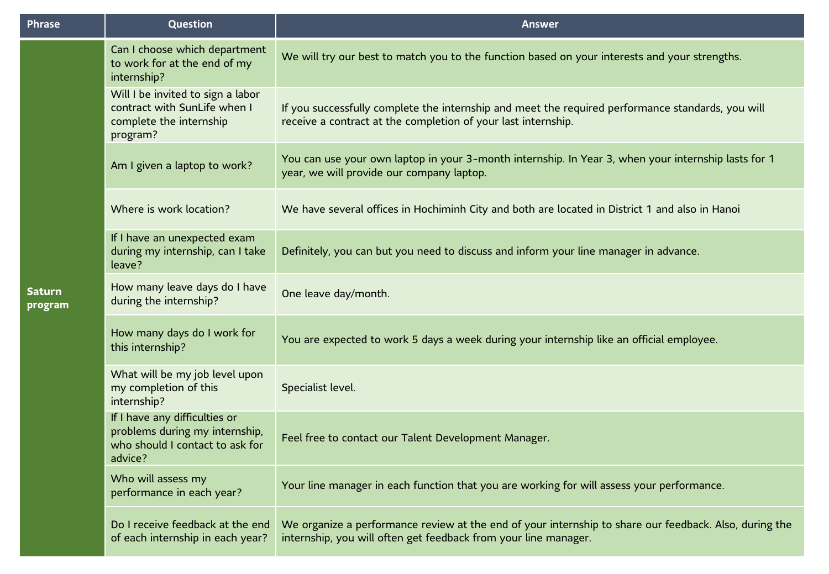| <b>Phrase</b>     | <b>Question</b>                                                                                               | <b>Answer</b>                                                                                                                                                             |
|-------------------|---------------------------------------------------------------------------------------------------------------|---------------------------------------------------------------------------------------------------------------------------------------------------------------------------|
| Saturn<br>program | Can I choose which department<br>to work for at the end of my<br>internship?                                  | We will try our best to match you to the function based on your interests and your strengths.                                                                             |
|                   | Will I be invited to sign a labor<br>contract with SunLife when I<br>complete the internship<br>program?      | If you successfully complete the internship and meet the required performance standards, you will<br>receive a contract at the completion of your last internship.        |
|                   | Am I given a laptop to work?                                                                                  | You can use your own laptop in your 3-month internship. In Year 3, when your internship lasts for 1<br>year, we will provide our company laptop.                          |
|                   | Where is work location?                                                                                       | We have several offices in Hochiminh City and both are located in District 1 and also in Hanoi                                                                            |
|                   | If I have an unexpected exam<br>during my internship, can I take<br>leave?                                    | Definitely, you can but you need to discuss and inform your line manager in advance.                                                                                      |
|                   | How many leave days do I have<br>during the internship?                                                       | One leave day/month.                                                                                                                                                      |
|                   | How many days do I work for<br>this internship?                                                               | You are expected to work 5 days a week during your internship like an official employee.                                                                                  |
|                   | What will be my job level upon<br>my completion of this<br>internship?                                        | Specialist level.                                                                                                                                                         |
|                   | If I have any difficulties or<br>problems during my internship,<br>who should I contact to ask for<br>advice? | Feel free to contact our Talent Development Manager.                                                                                                                      |
|                   | Who will assess my<br>performance in each year?                                                               | Your line manager in each function that you are working for will assess your performance.                                                                                 |
|                   | Do I receive feedback at the end<br>of each internship in each year?                                          | We organize a performance review at the end of your internship to share our feedback. Also, during the<br>internship, you will often get feedback from your line manager. |